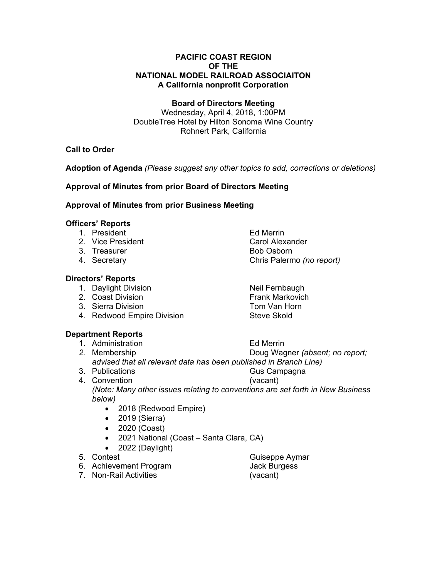### **PACIFIC COAST REGION OF THE NATIONAL MODEL RAILROAD ASSOCIAITON A California nonprofit Corporation**

### **Board of Directors Meeting**

Wednesday, April 4, 2018, 1:00PM DoubleTree Hotel by Hilton Sonoma Wine Country Rohnert Park, California

# **Call to Order**

**Adoption of Agenda** *(Please suggest any other topics to add, corrections or deletions)* 

## **Approval of Minutes from prior Board of Directors Meeting**

### **Approval of Minutes from prior Business Meeting**

## **Officers' Reports**

- 1. President and the extent of the Ed Merrin
- 2. Vice President **Carol Alexander**
- 3. Treasurer Bob Osborn
- 

## **Directors' Reports**

- 1. Daylight Division Neil Fernbaugh
- 2. Coast Division **Frank Markovich**
- 3. Sierra Division Tom Van Horn
- 4. Redwood Empire Division Steve Skold

## **Department Reports**

- 
- 1. Administration Ed Merrin *2.* Membership Doug Wagner *(absent; no report; advised that all relevant data has been published in Branch Line)*
- 3. Publications Gus Campagna 4. Convention (vacant) *(Note: Many other issues relating to conventions are set forth in New Business below)* 
	- 2018 (Redwood Empire)
	- 2019 (Sierra)
	- 2020 (Coast)
	- 2021 National (Coast Santa Clara, CA)
	- $\bullet$  2022 (Daylight)
- 

6. Achievement Program Jack Burgess

7. Non-Rail Activities (vacant)

4. Secretary Chris Palermo *(no report)*

5. Contest Guiseppe Aymar